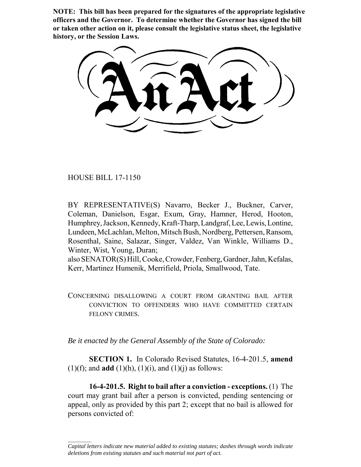**NOTE: This bill has been prepared for the signatures of the appropriate legislative officers and the Governor. To determine whether the Governor has signed the bill or taken other action on it, please consult the legislative status sheet, the legislative history, or the Session Laws.**

HOUSE BILL 17-1150

 $\frac{1}{2}$ 

BY REPRESENTATIVE(S) Navarro, Becker J., Buckner, Carver, Coleman, Danielson, Esgar, Exum, Gray, Hamner, Herod, Hooton, Humphrey, Jackson, Kennedy, Kraft-Tharp, Landgraf, Lee, Lewis, Lontine, Lundeen, McLachlan, Melton, Mitsch Bush, Nordberg, Pettersen, Ransom, Rosenthal, Saine, Salazar, Singer, Valdez, Van Winkle, Williams D., Winter, Wist, Young, Duran;

also SENATOR(S) Hill, Cooke, Crowder, Fenberg, Gardner, Jahn, Kefalas, Kerr, Martinez Humenik, Merrifield, Priola, Smallwood, Tate.

CONCERNING DISALLOWING A COURT FROM GRANTING BAIL AFTER CONVICTION TO OFFENDERS WHO HAVE COMMITTED CERTAIN FELONY CRIMES.

*Be it enacted by the General Assembly of the State of Colorado:*

**SECTION 1.** In Colorado Revised Statutes, 16-4-201.5, **amend** (1)(f); and **add** (1)(h), (1)(i), and (1)(j) as follows:

**16-4-201.5. Right to bail after a conviction - exceptions.** (1) The court may grant bail after a person is convicted, pending sentencing or appeal, only as provided by this part 2; except that no bail is allowed for persons convicted of:

*Capital letters indicate new material added to existing statutes; dashes through words indicate deletions from existing statutes and such material not part of act.*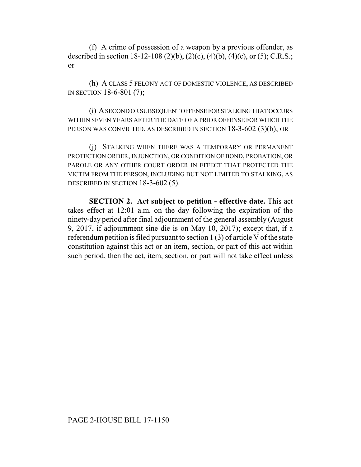(f) A crime of possession of a weapon by a previous offender, as described in section 18-12-108 (2)(b), (2)(c), (4)(b), (4)(c), or (5); C.R.S.; or

(h) A CLASS 5 FELONY ACT OF DOMESTIC VIOLENCE, AS DESCRIBED IN SECTION 18-6-801 (7);

(i) A SECOND OR SUBSEQUENT OFFENSE FOR STALKING THAT OCCURS WITHIN SEVEN YEARS AFTER THE DATE OF A PRIOR OFFENSE FOR WHICH THE PERSON WAS CONVICTED, AS DESCRIBED IN SECTION 18-3-602 (3)(b); OR

(j) STALKING WHEN THERE WAS A TEMPORARY OR PERMANENT PROTECTION ORDER, INJUNCTION, OR CONDITION OF BOND, PROBATION, OR PAROLE OR ANY OTHER COURT ORDER IN EFFECT THAT PROTECTED THE VICTIM FROM THE PERSON, INCLUDING BUT NOT LIMITED TO STALKING, AS DESCRIBED IN SECTION 18-3-602 (5).

**SECTION 2. Act subject to petition - effective date.** This act takes effect at 12:01 a.m. on the day following the expiration of the ninety-day period after final adjournment of the general assembly (August 9, 2017, if adjournment sine die is on May 10, 2017); except that, if a referendum petition is filed pursuant to section 1 (3) of article V of the state constitution against this act or an item, section, or part of this act within such period, then the act, item, section, or part will not take effect unless